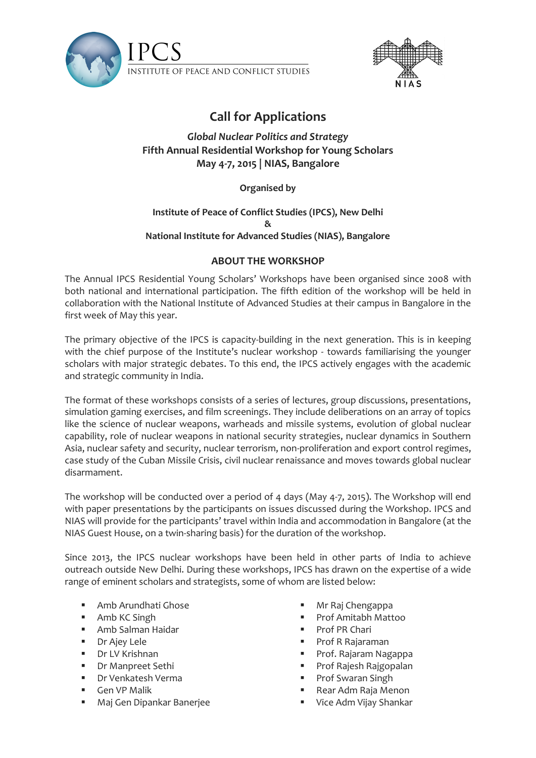



# **Call for Applications**

# *Global Nuclear Politics and Strategy* **Fifth Annual Residential Workshop for Young Scholars May 4-7, 2015 | NIAS, Bangalore**

## **Organised by**

#### **Institute of Peace of Conflict Studies (IPCS), New Delhi & National Institute for Advanced Studies (NIAS), Bangalore**

## **ABOUT THE WORKSHOP**

The Annual IPCS Residential Young Scholars' Workshops have been organised since 2008 with both national and international participation. The fifth edition of the workshop will be held in collaboration with the National Institute of Advanced Studies at their campus in Bangalore in the first week of May this year.

The primary objective of the IPCS is capacity-building in the next generation. This is in keeping with the chief purpose of the Institute's nuclear workshop - towards familiarising the younger scholars with major strategic debates. To this end, the IPCS actively engages with the academic and strategic community in India.

The format of these workshops consists of a series of lectures, group discussions, presentations, simulation gaming exercises, and film screenings. They include deliberations on an array of topics like the science of nuclear weapons, warheads and missile systems, evolution of global nuclear capability, role of nuclear weapons in national security strategies, nuclear dynamics in Southern Asia, nuclear safety and security, nuclear terrorism, non-proliferation and export control regimes, case study of the Cuban Missile Crisis, civil nuclear renaissance and moves towards global nuclear disarmament.

The workshop will be conducted over a period of 4 days (May 4-7, 2015). The Workshop will end with paper presentations by the participants on issues discussed during the Workshop. IPCS and NIAS will provide for the participants' travel within India and accommodation in Bangalore (at the NIAS Guest House, on a twin-sharing basis) for the duration of the workshop.

Since 2013, the IPCS nuclear workshops have been held in other parts of India to achieve outreach outside New Delhi. During these workshops, IPCS has drawn on the expertise of a wide range of eminent scholars and strategists, some of whom are listed below:

- Amb Arundhati Ghose
- Amb KC Singh
- Amb Salman Haidar
- Dr Ajey Lele
- Dr LV Krishnan
- **Dr Manpreet Sethi**
- Dr Venkatesh Verma
- **Gen VP Malik**
- Maj Gen Dipankar Banerjee
- Mr Raj Chengappa
- Prof Amitabh Mattoo
- Prof PR Chari
- Prof R Rajaraman
- Prof. Rajaram Nagappa
- Prof Rajesh Rajgopalan
- Prof Swaran Singh
- Rear Adm Raja Menon
- **Vice Adm Vijay Shankar**